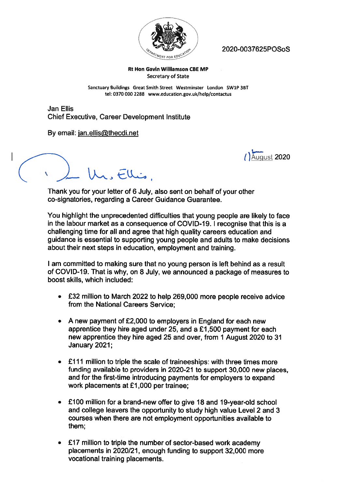

2020-O037625POSoS

## Rt Hon Gavin Williamson CBE MP Secretary of State

Sanctuary Buildings Great Smith Street Westminster London SW1P 38T tel: 0370 000 2288 www.education.gov.uk/help/contactus

Jan Ellis Chief Executive, Career Development Institute

By email: ian.ellis@thecdi.net

 $\mu$ ,  $Flu$ 

August 2020

Thank you for your letter of 6 July, also sent on behalf of your other co-signatories, regarding <sup>a</sup> Career Guidance Guarantee.

You highlight the unprecedented difficulties that young people are likely to face in the labour market as a consequence of COVID-19. I recognise that this is a challenging time for all and agree that high quality careers education and guidance is essential to supporting young people and adults to make decisions about their next steps in education, employment and training.

<sup>I</sup> am committed to making sure that no young person is left behind as <sup>a</sup> result of CCVID-19. That is why, on 8 July, we announced <sup>a</sup> package of measures to boost skills, which included:

- £32 million to March 2022 to help 269,000 more people receive advice from the National Careers Service;
- A new paymen<sup>t</sup> of £2,000 to employers in England for each new apprentice they hire aged under 25, and <sup>a</sup> £1,500 paymen<sup>t</sup> for each new apprentice they hire aged 25 and over, from 1 August 2020 to 31 January 2021;
- • £111 million to triple the scale of traineeships: with three times more funding available to providers in 2020-21 to suppor<sup>t</sup> 30,000 new <sup>p</sup>laces, and for the first-time introducing payments for employers to expand work placements at £1,000 per trainee;
- • £100 million for <sup>a</sup> brand-new offer to <sup>g</sup>ive 18 and 19-year-old school and college leavers the opportunity to study high value Level 2 and 3 courses when there are not employment opportunities available to them;
- • £17 million to triple the number of sector-based work academy <sup>p</sup>lacements in 2020/21, enough funding to suppor<sup>t</sup> 32,000 more vocational training placements.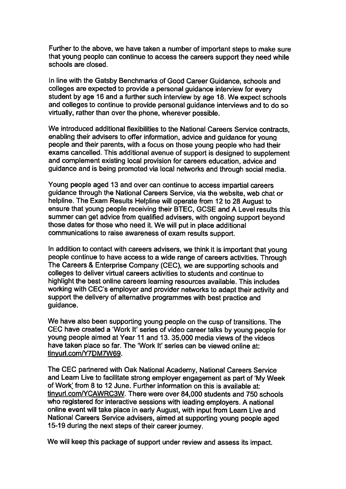Further to the above, we have taken <sup>a</sup> number of important steps to make sure that young people can continue to access the careers support they need while schools are closed.

In line with the Gaisby Benchmarks of Good Career Guidance, schools and colleges are expected to provide <sup>a</sup> personal guidance interview for every student by age <sup>16</sup> and <sup>a</sup> further such interview by age 18. We expect schools and colleges to continue to provide personal guidance interviews and to do so virtually, rather than over the <sup>p</sup>hone, wherever possible.

We introduced additional flexibilities to the National Careers Service contracts, enabling their advisers to offer information, advice and guidance for young people and their parents, with <sup>a</sup> focus on those young people who had their exams cancelled. This additional avenue of suppor<sup>t</sup> is designed to supplement and complement existing local provision for careers education, advice and guidance and is being promoted via local networks and through social media.

Young people aged <sup>13</sup> and over can continue to access impartial careers guidance through the National Careers Service, via the website, web chat or helpline. The Exam Results Helpline will operate from <sup>12</sup> to <sup>28</sup> August to ensure that young people receiving their BTEC, GCSE and A Level results this summer can ge<sup>t</sup> advice from qualified advisers, with ongoing suppor<sup>t</sup> beyond those dates for those who need it. We will pu<sup>t</sup> in <sup>p</sup>lace additional communications to raise awareness of exam results support.

In addition to contact with careers advisers, we think it is important that young people continue to have access to <sup>a</sup> wide range of careers activities. Through The Careers & Enterprise Company (CEC), we are supporting schools and colleges to deliver virtual careers activities to students and continue to highlight the best online careers learning resources available. This includes working with CEC's employer and provider networks to adapt their activity and support the delivery of alternative programmes with best practice and guidance.

We have also been supporting young people on the cusp of transitions. The CEC have created <sup>a</sup> 'Work It' series of video career talks by young people for young people aimed at Year 11 and 13. 35,000 media views of the videos have taken place so far. The 'Work It' series can be viewed online at: tinyurl.com/Y7DM7W69.

The CEC partnered with Oak National Academy, National Careers Service and Learn Live to facilitate strong employer engagement as par<sup>t</sup> of 'My Week of Work' from 8 to 12 June. Further information on this is available at: tinyurl.com/YCAWRC3W. There were over 84,000 students and 750 schools who registered for interactive sessions with leading employers. <sup>A</sup> national online event will take <sup>p</sup>lace in early August, with input from Learn Live and National Careers Service advisers, aimed at supporting young people aged 15-19 during the next steps of their career journey.

We will keep this package of suppor<sup>t</sup> under review and assess its impact.